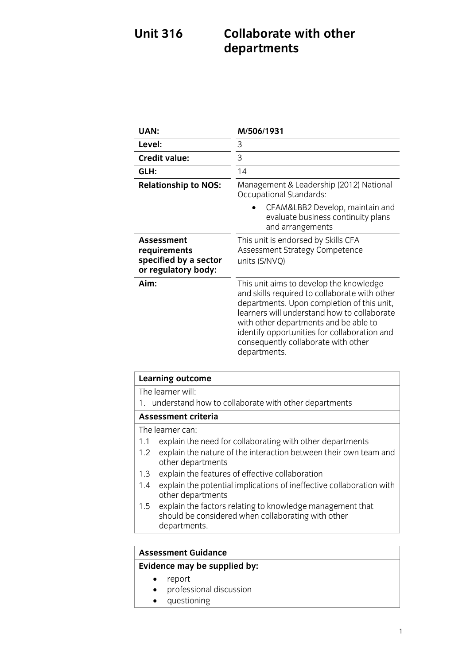## **Unit 316 Collaborate with other views** departments **departments**

| UAN:                                                                       | M/506/1931                                                                                                                                                                                                                                                                                                                            |
|----------------------------------------------------------------------------|---------------------------------------------------------------------------------------------------------------------------------------------------------------------------------------------------------------------------------------------------------------------------------------------------------------------------------------|
| Level:                                                                     | 3                                                                                                                                                                                                                                                                                                                                     |
| <b>Credit value:</b>                                                       | 3                                                                                                                                                                                                                                                                                                                                     |
| GLH:                                                                       | 14                                                                                                                                                                                                                                                                                                                                    |
| <b>Relationship to NOS:</b>                                                | Management & Leadership (2012) National<br>Occupational Standards:                                                                                                                                                                                                                                                                    |
|                                                                            | CFAM&LBB2 Develop, maintain and<br>evaluate business continuity plans<br>and arrangements                                                                                                                                                                                                                                             |
| Assessment<br>requirements<br>specified by a sector<br>or regulatory body: | This unit is endorsed by Skills CFA<br>Assessment Strategy Competence<br>units (S/NVQ)                                                                                                                                                                                                                                                |
| Aim:                                                                       | This unit aims to develop the knowledge<br>and skills required to collaborate with other<br>departments. Upon completion of this unit,<br>learners will understand how to collaborate<br>with other departments and be able to<br>identify opportunities for collaboration and<br>consequently collaborate with other<br>departments. |

| <b>Learning outcome</b>                                                                                                                    |  |
|--------------------------------------------------------------------------------------------------------------------------------------------|--|
| The learner will:                                                                                                                          |  |
| understand how to collaborate with other departments<br>1.                                                                                 |  |
| <b>Assessment criteria</b>                                                                                                                 |  |
| The learner can:                                                                                                                           |  |
| explain the need for collaborating with other departments<br>1.1                                                                           |  |
| explain the nature of the interaction between their own team and<br>1.2<br>other departments                                               |  |
| explain the features of effective collaboration<br>1.3                                                                                     |  |
| explain the potential implications of ineffective collaboration with<br>1.4<br>other departments                                           |  |
| explain the factors relating to knowledge management that<br>$1.5\,$<br>should be considered when collaborating with other<br>departments. |  |
|                                                                                                                                            |  |

### **Assessment Guidance**

## **Evidence may be supplied by:**

- 
- report<br>• profess professional discussion
- questioning